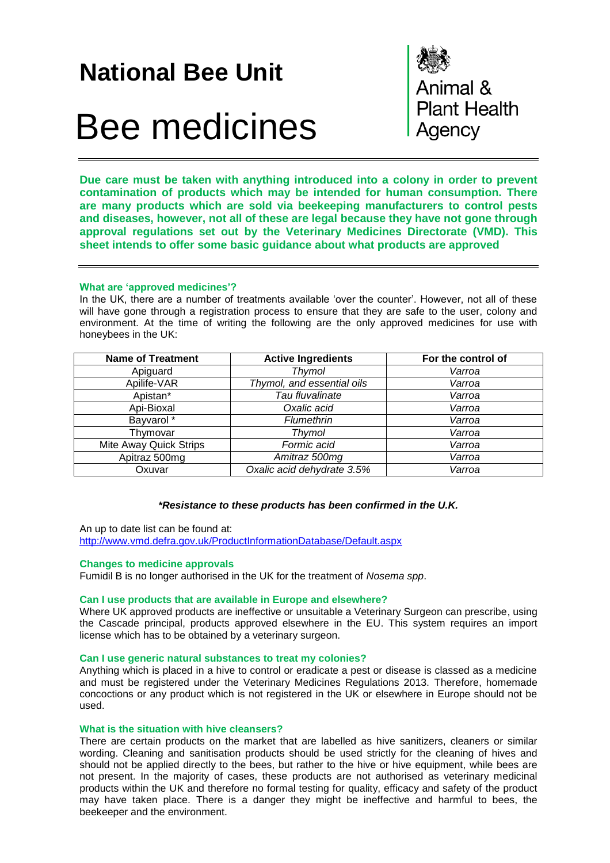## **National Bee Unit**

# Bee medicines

Animal & **Plant Health** Agency

**Due care must be taken with anything introduced into a colony in order to prevent contamination of products which may be intended for human consumption. There are many products which are sold via beekeeping manufacturers to control pests and diseases, however, not all of these are legal because they have not gone through approval regulations set out by the Veterinary Medicines Directorate (VMD). This sheet intends to offer some basic guidance about what products are approved**

#### **What are 'approved medicines'?**

In the UK, there are a number of treatments available 'over the counter'. However, not all of these will have gone through a registration process to ensure that they are safe to the user, colony and environment. At the time of writing the following are the only approved medicines for use with honeybees in the UK:

| <b>Name of Treatment</b> | <b>Active Ingredients</b>  | For the control of |  |  |
|--------------------------|----------------------------|--------------------|--|--|
| Apiguard                 | <b>Thymol</b>              | Varroa             |  |  |
| Apilife-VAR              | Thymol, and essential oils | Varroa             |  |  |
| Apistan*                 | Tau fluvalinate            | Varroa             |  |  |
| Api-Bioxal               | Oxalic acid                | Varroa             |  |  |
| Bayvarol *               | Flumethrin                 | Varroa             |  |  |
| Thymovar                 | Thymol                     | Varroa             |  |  |
| Mite Away Quick Strips   | Formic acid                | Varroa             |  |  |
| Apitraz 500mg            | Amitraz 500mg              | Varroa             |  |  |
| Oxuvar                   | Oxalic acid dehydrate 3.5% | Varroa             |  |  |

#### *\*Resistance to these products has been confirmed in the U.K.*

An up to date list can be found at: <http://www.vmd.defra.gov.uk/ProductInformationDatabase/Default.aspx>

#### **Changes to medicine approvals**

Fumidil B is no longer authorised in the UK for the treatment of *Nosema spp*.

#### **Can I use products that are available in Europe and elsewhere?**

Where UK approved products are ineffective or unsuitable a Veterinary Surgeon can prescribe, using the Cascade principal, products approved elsewhere in the EU. This system requires an import license which has to be obtained by a veterinary surgeon.

#### **Can I use generic natural substances to treat my colonies?**

Anything which is placed in a hive to control or eradicate a pest or disease is classed as a medicine and must be registered under the Veterinary Medicines Regulations 2013. Therefore, homemade concoctions or any product which is not registered in the UK or elsewhere in Europe should not be used.

#### **What is the situation with hive cleansers?**

There are certain products on the market that are labelled as hive sanitizers, cleaners or similar wording. Cleaning and sanitisation products should be used strictly for the cleaning of hives and should not be applied directly to the bees, but rather to the hive or hive equipment, while bees are not present. In the majority of cases, these products are not authorised as veterinary medicinal products within the UK and therefore no formal testing for quality, efficacy and safety of the product may have taken place. There is a danger they might be ineffective and harmful to bees, the beekeeper and the environment.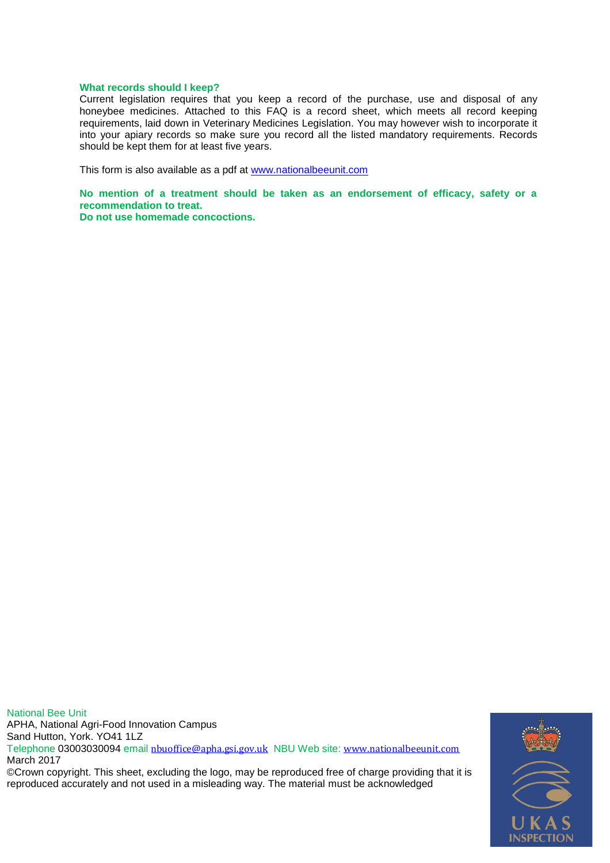#### **What records should I keep?**

Current legislation requires that you keep a record of the purchase, use and disposal of any honeybee medicines. Attached to this FAQ is a record sheet, which meets all record keeping requirements, laid down in Veterinary Medicines Legislation. You may however wish to incorporate it into your apiary records so make sure you record all the listed mandatory requirements. Records should be kept them for at least five years.

This form is also available as a pdf at [www.nationalbeeunit.com](http://www.nationalbeeunit.com/)

**No mention of a treatment should be taken as an endorsement of efficacy, safety or a recommendation to treat.**

**Do not use homemade concoctions.**

National Bee Unit APHA, National Agri-Food Innovation Campus Sand Hutton, York. YO41 1LZ Telephone 03003030094 email [nbuoffice@apha.gsi.gov.uk](mailto:nbuoffice@apha.gsi.gov.uk) NBU Web site: [www.nationalbeeunit.com](http://www.nationalbeeunit.com/) March 2017 ©Crown copyright. This sheet, excluding the logo, may be reproduced free of charge providing that it is